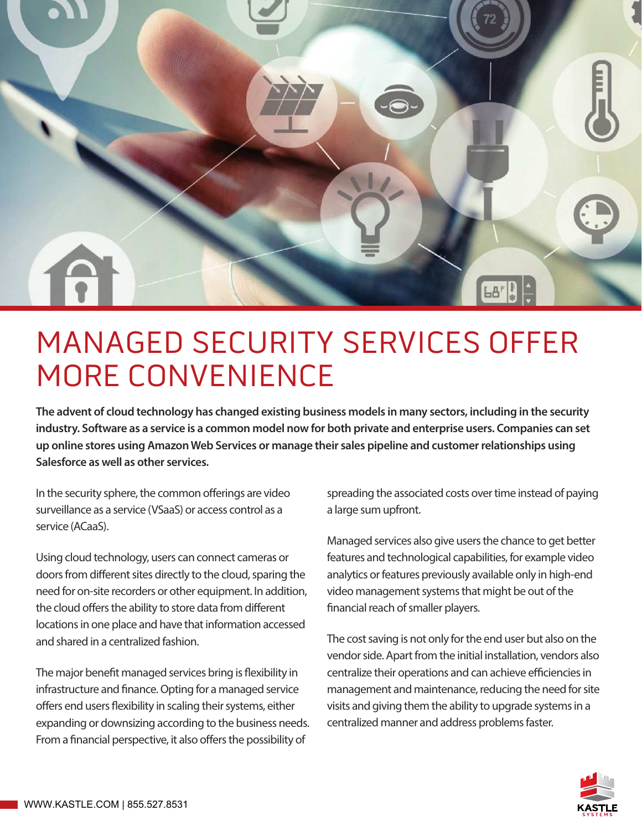

# MANAGED SECURITY SERVICES OFFER MORE CONVENIENCE

**The advent of cloud technology has changed existing business models in many sectors, including in the security industry. Software as a service is a common model now for both private and enterprise users. Companies can set up online stores using Amazon Web Services or manage their sales pipeline and customer relationships using Salesforce as well as other services.**

In the security sphere, the common offerings are video surveillance as a service (VSaaS) or access control as a service (ACaaS).

Using cloud technology, users can connect cameras or doors from different sites directly to the cloud, sparing the need for on-site recorders or other equipment. In addition, the cloud offers the ability to store data from different locations in one place and have that information accessed and shared in a centralized fashion.

The major benefit managed services bring is flexibility in infrastructure and finance. Opting for a managed service offers end users flexibility in scaling their systems, either expanding or downsizing according to the business needs. From a financial perspective, it also offers the possibility of

spreading the associated costs over time instead of paying a large sum upfront.

Managed services also give users the chance to get better features and technological capabilities, for example video analytics or features previously available only in high-end video management systems that might be out of the financial reach of smaller players.

The cost saving is not only for the end user but also on the vendor side. Apart from the initial installation, vendors also centralize their operations and can achieve efficiencies in management and maintenance, reducing the need for site visits and giving them the ability to upgrade systems in a centralized manner and address problems faster.

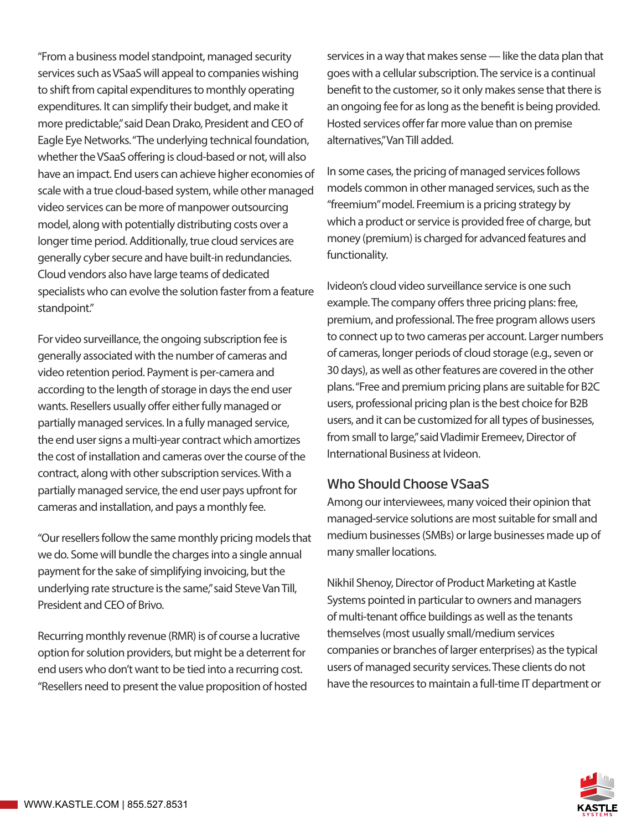"From a business model standpoint, managed security services such as VSaaS will appeal to companies wishing to shift from capital expenditures to monthly operating expenditures. It can simplify their budget, and make it more predictable," said Dean Drako, President and CEO of Eagle Eye Networks. "The underlying technical foundation, whether the VSaaS offering is cloud-based or not, will also have an impact. End users can achieve higher economies of scale with a true cloud-based system, while other managed video services can be more of manpower outsourcing model, along with potentially distributing costs over a longer time period. Additionally, true cloud services are generally cyber secure and have built-in redundancies. Cloud vendors also have large teams of dedicated specialists who can evolve the solution faster from a feature standpoint."

For video surveillance, the ongoing subscription fee is generally associated with the number of cameras and video retention period. Payment is per-camera and according to the length of storage in days the end user wants. Resellers usually offer either fully managed or partially managed services. In a fully managed service, the end user signs a multi-year contract which amortizes the cost of installation and cameras over the course of the contract, along with other subscription services. With a partially managed service, the end user pays upfront for cameras and installation, and pays a monthly fee.

"Our resellers follow the same monthly pricing models that we do. Some will bundle the charges into a single annual payment for the sake of simplifying invoicing, but the underlying rate structure is the same," said Steve Van Till, President and CEO of Brivo.

Recurring monthly revenue (RMR) is of course a lucrative option for solution providers, but might be a deterrent for end users who don't want to be tied into a recurring cost. "Resellers need to present the value proposition of hosted services in a way that makes sense — like the data plan that goes with a cellular subscription. The service is a continual benefit to the customer, so it only makes sense that there is an ongoing fee for as long as the benefit is being provided. Hosted services offer far more value than on premise alternatives," Van Till added.

In some cases, the pricing of managed services follows models common in other managed services, such as the "freemium" model. Freemium is a pricing strategy by which a product or service is provided free of charge, but money (premium) is charged for advanced features and functionality.

Ivideon's cloud video surveillance service is one such example. The company offers three pricing plans: free, premium, and professional. The free program allows users to connect up to two cameras per account. Larger numbers of cameras, longer periods of cloud storage (e.g., seven or 30 days), as well as other features are covered in the other plans. "Free and premium pricing plans are suitable for B2C users, professional pricing plan is the best choice for B2B users, and it can be customized for all types of businesses, from small to large," said Vladimir Eremeev, Director of International Business at Ivideon.

#### Who Should Choose VSaaS

Among our interviewees, many voiced their opinion that managed-service solutions are most suitable for small and medium businesses (SMBs) or large businesses made up of many smaller locations.

Nikhil Shenoy, Director of Product Marketing at Kastle Systems pointed in particular to owners and managers of multi-tenant office buildings as well as the tenants themselves (most usually small/medium services companies or branches of larger enterprises) as the typical users of managed security services. These clients do not have the resources to maintain a full-time IT department or